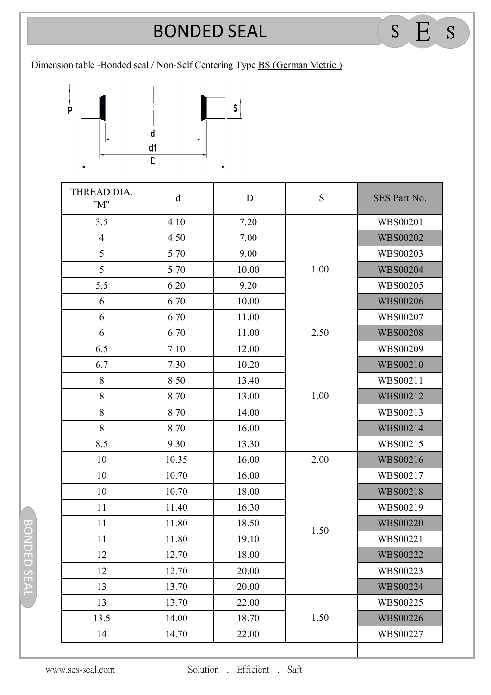## **BONDED SEAL** BONDED SEAL <sup>S</sup> E <sup>S</sup>

Dimension table -Bonded seal / Non-Self Centering Type BS (German Metric )



| THREAD DIA.<br>"M" | $\mathbf d$ | D     | S    | SES Part No.    |
|--------------------|-------------|-------|------|-----------------|
| 3.5                | 4.10        | 7.20  | 1.00 | <b>WBS00201</b> |
| $\overline{4}$     | 4.50        | 7.00  |      | <b>WBS00202</b> |
| 5                  | 5.70        | 9.00  |      | WBS00203        |
| 5                  | 5.70        | 10.00 |      | <b>WBS00204</b> |
| 5.5                | 6.20        | 9.20  |      | WBS00205        |
| 6                  | 6.70        | 10.00 |      | <b>WBS00206</b> |
| 6                  | 6.70        | 11.00 |      | WBS00207        |
| 6                  | 6.70        | 11.00 | 2.50 | <b>WBS00208</b> |
| 6.5                | 7.10        | 12.00 | 1.00 | WBS00209        |
| 6.7                | 7.30        | 10.20 |      | WBS00210        |
| 8                  | 8.50        | 13.40 |      | WBS00211        |
| 8                  | 8.70        | 13.00 |      | WBS00212        |
| 8                  | 8.70        | 14.00 |      | WBS00213        |
| 8                  | 8.70        | 16.00 |      | WBS00214        |
| 8.5                | 9.30        | 13.30 |      | WBS00215        |
| 10                 | 10.35       | 16.00 | 2.00 | WBS00216        |
| 10                 | 10.70       | 16.00 | 1.50 | WBS00217        |
| 10                 | 10.70       | 18.00 |      | <b>WBS00218</b> |
| 11                 | 11.40       | 16.30 |      | WBS00219        |
| 11                 | 11.80       | 18.50 |      | <b>WBS00220</b> |
| 11                 | 11.80       | 19.10 |      | WBS00221        |
| 12                 | 12.70       | 18.00 |      | WBS00222        |
| 12                 | 12.70       | 20.00 |      | WBS00223        |
| 13                 | 13.70       | 20.00 |      | <b>WBS00224</b> |
| 13                 | 13.70       | 22.00 | 1.50 | WBS00225        |
| 13.5               | 14.00       | 18.70 |      | <b>WBS00226</b> |
| 14                 | 14.70       | 22.00 |      | WBS00227        |

BONDED SEAL BONDED SEAL